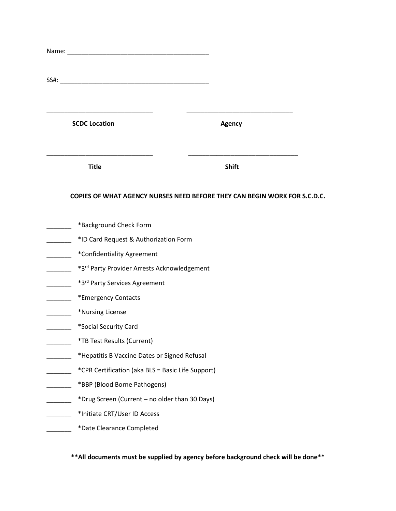| <b>SCDC Location</b>                         | <b>Agency</b>                                                             |  |  |  |  |
|----------------------------------------------|---------------------------------------------------------------------------|--|--|--|--|
| <b>Title</b>                                 | <b>Shift</b>                                                              |  |  |  |  |
|                                              | COPIES OF WHAT AGENCY NURSES NEED BEFORE THEY CAN BEGIN WORK FOR S.C.D.C. |  |  |  |  |
| *Background Check Form                       |                                                                           |  |  |  |  |
| *ID Card Request & Authorization Form        |                                                                           |  |  |  |  |
| *Confidentiality Agreement                   |                                                                           |  |  |  |  |
| *3rd Party Provider Arrests Acknowledgement  |                                                                           |  |  |  |  |
| *3rd Party Services Agreement                |                                                                           |  |  |  |  |
| *Emergency Contacts                          |                                                                           |  |  |  |  |
| *Nursing License                             |                                                                           |  |  |  |  |
| *Social Security Card                        |                                                                           |  |  |  |  |
| *TB Test Results (Current)                   |                                                                           |  |  |  |  |
| *Hepatitis B Vaccine Dates or Signed Refusal |                                                                           |  |  |  |  |
|                                              | *CPR Certification (aka BLS = Basic Life Support)                         |  |  |  |  |
|                                              | *BBP (Blood Borne Pathogens)                                              |  |  |  |  |
|                                              | *Drug Screen (Current - no older than 30 Days)                            |  |  |  |  |
|                                              | *Initiate CRT/User ID Access                                              |  |  |  |  |
| *Date Clearance Completed                    |                                                                           |  |  |  |  |

**\*\*All documents must be supplied by agency before background check will be done\*\***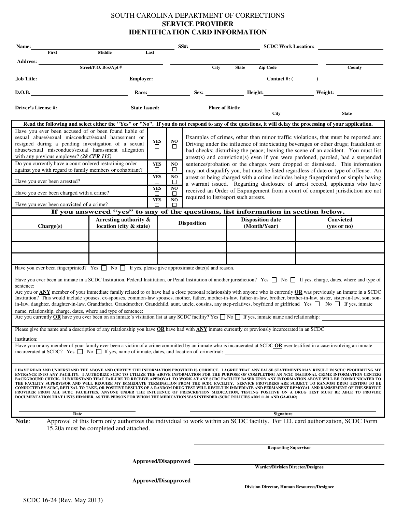#### SOUTH CAROLINA DEPARTMENT OF CORRECTIONS **SERVICE PROVIDER IDENTIFICATION CARD INFORMATION**

| Name:<br>First                                                                                                                                                                                                                                                                                                                                                                                                                                                                                                                                                                                                                                                                                                                                                                                                                                                                                                                                                                                                                                                                          | Middle                                                                            |                                |                          | $SS#$ :                                                                                                                                                                                                                                                                                                                                            |              | <b>SCDC Work Location:</b>               |  | <u> 1990 - Jan Alexandria (</u>                                                                                                                                            |
|-----------------------------------------------------------------------------------------------------------------------------------------------------------------------------------------------------------------------------------------------------------------------------------------------------------------------------------------------------------------------------------------------------------------------------------------------------------------------------------------------------------------------------------------------------------------------------------------------------------------------------------------------------------------------------------------------------------------------------------------------------------------------------------------------------------------------------------------------------------------------------------------------------------------------------------------------------------------------------------------------------------------------------------------------------------------------------------------|-----------------------------------------------------------------------------------|--------------------------------|--------------------------|----------------------------------------------------------------------------------------------------------------------------------------------------------------------------------------------------------------------------------------------------------------------------------------------------------------------------------------------------|--------------|------------------------------------------|--|----------------------------------------------------------------------------------------------------------------------------------------------------------------------------|
|                                                                                                                                                                                                                                                                                                                                                                                                                                                                                                                                                                                                                                                                                                                                                                                                                                                                                                                                                                                                                                                                                         |                                                                                   | Last                           |                          |                                                                                                                                                                                                                                                                                                                                                    |              |                                          |  |                                                                                                                                                                            |
|                                                                                                                                                                                                                                                                                                                                                                                                                                                                                                                                                                                                                                                                                                                                                                                                                                                                                                                                                                                                                                                                                         |                                                                                   |                                |                          | City                                                                                                                                                                                                                                                                                                                                               | <b>State</b> | <b>Zip Code</b>                          |  | County                                                                                                                                                                     |
|                                                                                                                                                                                                                                                                                                                                                                                                                                                                                                                                                                                                                                                                                                                                                                                                                                                                                                                                                                                                                                                                                         |                                                                                   |                                |                          |                                                                                                                                                                                                                                                                                                                                                    |              |                                          |  |                                                                                                                                                                            |
| D.O.B.                                                                                                                                                                                                                                                                                                                                                                                                                                                                                                                                                                                                                                                                                                                                                                                                                                                                                                                                                                                                                                                                                  |                                                                                   |                                |                          |                                                                                                                                                                                                                                                                                                                                                    |              |                                          |  |                                                                                                                                                                            |
|                                                                                                                                                                                                                                                                                                                                                                                                                                                                                                                                                                                                                                                                                                                                                                                                                                                                                                                                                                                                                                                                                         |                                                                                   |                                |                          |                                                                                                                                                                                                                                                                                                                                                    |              | Place of Birth: City                     |  |                                                                                                                                                                            |
|                                                                                                                                                                                                                                                                                                                                                                                                                                                                                                                                                                                                                                                                                                                                                                                                                                                                                                                                                                                                                                                                                         |                                                                                   |                                |                          |                                                                                                                                                                                                                                                                                                                                                    |              |                                          |  | <b>State</b>                                                                                                                                                               |
| Read the following and select either the "Yes" or "No". If you do not respond to any of the questions, it will delay the processing of your application.<br>Have you ever been accused of or been found liable of                                                                                                                                                                                                                                                                                                                                                                                                                                                                                                                                                                                                                                                                                                                                                                                                                                                                       |                                                                                   |                                |                          |                                                                                                                                                                                                                                                                                                                                                    |              |                                          |  |                                                                                                                                                                            |
| sexual abuse/sexual misconduct/sexual harassment or<br>resigned during a pending investigation of a sexual<br>abuse/sexual misconduct/sexual harassment allegation<br>with any previous employer? $(28 \text{ CFR } 115)$                                                                                                                                                                                                                                                                                                                                                                                                                                                                                                                                                                                                                                                                                                                                                                                                                                                               |                                                                                   | <b>YES</b><br>$\Box$           | N <sub>O</sub><br>□      | Examples of crimes, other than minor traffic violations, that must be reported are:<br>Driving under the influence of intoxicating beverages or other drugs; fraudulent or<br>bad checks; disturbing the peace; leaving the scene of an accident. You must list<br>arrest(s) and conviction(s) even if you were pardoned, paroled, had a suspended |              |                                          |  |                                                                                                                                                                            |
| Do you currently have a court ordered restraining order                                                                                                                                                                                                                                                                                                                                                                                                                                                                                                                                                                                                                                                                                                                                                                                                                                                                                                                                                                                                                                 |                                                                                   | <b>YES</b><br>□                | NO.<br>$\Box$            |                                                                                                                                                                                                                                                                                                                                                    |              |                                          |  | sentence/probation or the charges were dropped or dismissed. This information                                                                                              |
| against you with regard to family members or cohabitant?<br>Have you ever been arrested?                                                                                                                                                                                                                                                                                                                                                                                                                                                                                                                                                                                                                                                                                                                                                                                                                                                                                                                                                                                                |                                                                                   | <b>YES</b>                     | NO.                      |                                                                                                                                                                                                                                                                                                                                                    |              |                                          |  | may not disqualify you, but must be listed regardless of date or type of offense. An<br>arrest or being charged with a crime includes being fingerprinted or simply having |
| Have you ever been charged with a crime?                                                                                                                                                                                                                                                                                                                                                                                                                                                                                                                                                                                                                                                                                                                                                                                                                                                                                                                                                                                                                                                |                                                                                   | $\Box$<br><b>YES</b><br>$\Box$ | □<br>N <sub>O</sub><br>□ |                                                                                                                                                                                                                                                                                                                                                    |              |                                          |  | a warrant issued. Regarding disclosure of arrest record, applicants who have<br>received an Order of Expungement from a court of competent jurisdiction are not            |
|                                                                                                                                                                                                                                                                                                                                                                                                                                                                                                                                                                                                                                                                                                                                                                                                                                                                                                                                                                                                                                                                                         |                                                                                   | <b>YES</b>                     | NO.                      | required to list/report such arrests.                                                                                                                                                                                                                                                                                                              |              |                                          |  |                                                                                                                                                                            |
| Have you ever been convicted of a crime?                                                                                                                                                                                                                                                                                                                                                                                                                                                                                                                                                                                                                                                                                                                                                                                                                                                                                                                                                                                                                                                | If you answered "yes" to any of the questions, list information in section below. | П                              | □                        |                                                                                                                                                                                                                                                                                                                                                    |              |                                          |  |                                                                                                                                                                            |
|                                                                                                                                                                                                                                                                                                                                                                                                                                                                                                                                                                                                                                                                                                                                                                                                                                                                                                                                                                                                                                                                                         | Arresting authority &                                                             |                                |                          | <b>Disposition</b>                                                                                                                                                                                                                                                                                                                                 |              | <b>Disposition date</b>                  |  | <b>Convicted</b>                                                                                                                                                           |
| Change(s)                                                                                                                                                                                                                                                                                                                                                                                                                                                                                                                                                                                                                                                                                                                                                                                                                                                                                                                                                                                                                                                                               | location (city & state)                                                           |                                |                          |                                                                                                                                                                                                                                                                                                                                                    |              | (Month/Year)                             |  | $(yes$ or no)                                                                                                                                                              |
|                                                                                                                                                                                                                                                                                                                                                                                                                                                                                                                                                                                                                                                                                                                                                                                                                                                                                                                                                                                                                                                                                         |                                                                                   |                                |                          |                                                                                                                                                                                                                                                                                                                                                    |              |                                          |  |                                                                                                                                                                            |
|                                                                                                                                                                                                                                                                                                                                                                                                                                                                                                                                                                                                                                                                                                                                                                                                                                                                                                                                                                                                                                                                                         |                                                                                   |                                |                          |                                                                                                                                                                                                                                                                                                                                                    |              |                                          |  |                                                                                                                                                                            |
|                                                                                                                                                                                                                                                                                                                                                                                                                                                                                                                                                                                                                                                                                                                                                                                                                                                                                                                                                                                                                                                                                         |                                                                                   |                                |                          |                                                                                                                                                                                                                                                                                                                                                    |              |                                          |  |                                                                                                                                                                            |
| Have you ever been fingerprinted? Yes $\Box$ No $\Box$ If yes, please give approximate date(s) and reason.                                                                                                                                                                                                                                                                                                                                                                                                                                                                                                                                                                                                                                                                                                                                                                                                                                                                                                                                                                              |                                                                                   |                                |                          |                                                                                                                                                                                                                                                                                                                                                    |              |                                          |  |                                                                                                                                                                            |
| Have you ever been an inmate in a SCDC Institution, Federal Institution, or Penal Institution of another jurisdiction? Yes $\Box$ No $\Box$ If yes, charge, dates, where and type of<br>sentence:                                                                                                                                                                                                                                                                                                                                                                                                                                                                                                                                                                                                                                                                                                                                                                                                                                                                                       |                                                                                   |                                |                          |                                                                                                                                                                                                                                                                                                                                                    |              |                                          |  |                                                                                                                                                                            |
| Are you or ANY member of your immediate family related to or have had a close personal relationship with anyone who is currently OR was previously an inmate in a SCDC<br>Institution? This would include spouses, ex-spouses, common-law spouses, mother, father, mother-in-law, father-in-law, brother, brother-in-law, sister, sister-in-law, son, son-<br>in-law, daughter, daughter-in-law, Grandfather, Grandmother, Grandchild, aunt, uncle, cousins, any step-relatives, boyfriend or girlfriend Yes □ No □ If yes, inmate<br>name, relationship, charge, dates, where and type of sentence:                                                                                                                                                                                                                                                                                                                                                                                                                                                                                    |                                                                                   |                                |                          |                                                                                                                                                                                                                                                                                                                                                    |              |                                          |  |                                                                                                                                                                            |
| Are you currently OR have you ever been on an inmate's visitation list at any SCDC facility? Yes $\Box$ No $\Box$ If yes, inmate name and relationship:                                                                                                                                                                                                                                                                                                                                                                                                                                                                                                                                                                                                                                                                                                                                                                                                                                                                                                                                 |                                                                                   |                                |                          |                                                                                                                                                                                                                                                                                                                                                    |              |                                          |  |                                                                                                                                                                            |
| Please give the name and a description of any relationship you have OR have had with ANY inmate currently or previously incarcerated in an SCDC                                                                                                                                                                                                                                                                                                                                                                                                                                                                                                                                                                                                                                                                                                                                                                                                                                                                                                                                         |                                                                                   |                                |                          |                                                                                                                                                                                                                                                                                                                                                    |              |                                          |  |                                                                                                                                                                            |
| institution:                                                                                                                                                                                                                                                                                                                                                                                                                                                                                                                                                                                                                                                                                                                                                                                                                                                                                                                                                                                                                                                                            |                                                                                   |                                |                          |                                                                                                                                                                                                                                                                                                                                                    |              |                                          |  |                                                                                                                                                                            |
| Have you or any member of your family ever been a victim of a crime committed by an inmate who is incarcerated at SCDC OR ever testified in a case involving an inmate<br>incarcerated at SCDC? Yes $\Box$ No $\Box$ If yes, name of inmate, dates, and location of crime/trial:                                                                                                                                                                                                                                                                                                                                                                                                                                                                                                                                                                                                                                                                                                                                                                                                        |                                                                                   |                                |                          |                                                                                                                                                                                                                                                                                                                                                    |              |                                          |  |                                                                                                                                                                            |
|                                                                                                                                                                                                                                                                                                                                                                                                                                                                                                                                                                                                                                                                                                                                                                                                                                                                                                                                                                                                                                                                                         |                                                                                   |                                |                          |                                                                                                                                                                                                                                                                                                                                                    |              |                                          |  |                                                                                                                                                                            |
| I HAVE READ AND UNDERSTAND THE ABOVE AND CERTIFY THE INFORMATION PROVIDED IS CORRECT. I AGREE THAT ANY FALSE STATEMENTS MAY RESULT IN SCDC PROHIBITING MY<br>ENTRANCE INTO ANY FACILITY. I AUTHORIZE SCDC TO UTILIZE THE ABOVE INFORMATION FOR THE PURPOSE OF COMPLETING AN NCIC (NATIONAL CRIME INFORMATION CENTER)<br>BACKGROUND CHECK. I UNDERSTAND THAT FAILURE TO RECEIVE APPROVAL TO WORK AT ANY SCDC FACILITY BASED UPON ANY INFORMATION ABOVE WILL BE COMMUNICATED TO<br>THE FACILITY SUPERVISOR AND WILL REQUIRE MY IMMEDIATE TERMINATION FROM THE SCDC FACILITY. SERVICE PROVIDERS ARE SUBJECT TO RANDOM DRUG TESTING TO BE<br>CONDUCTED BY SCDC, REFUSAL TO TAKE, OR POSITIVE RESULTS OF A RANDOM DRUG TEST WILL RESULT IN IMMEDIATE AND PERMANENT REMOVAL AND BANISHMENT OF THE SERVICE<br>PROVIDER FROM ALL SCDC FACILITIES. ANYONE UNDER THE INFLUENCE OF PRESCRIPTION MEDICATION, TESTING POSITIVE ON A DRUG TEST MUST BE ABLE TO PROVIDE<br>DOCUMENTATION THAT LISTS HIM/HER, AS THE PERSON FOR WHOM THE MEDICATION WAS INTENDED (SCDC POLICIES ADM 11.01 AND GA-03.02) |                                                                                   |                                |                          |                                                                                                                                                                                                                                                                                                                                                    |              |                                          |  |                                                                                                                                                                            |
| Date<br>Note:                                                                                                                                                                                                                                                                                                                                                                                                                                                                                                                                                                                                                                                                                                                                                                                                                                                                                                                                                                                                                                                                           |                                                                                   |                                |                          |                                                                                                                                                                                                                                                                                                                                                    |              | <b>Signature</b>                         |  | Approval of this form only authorizes the individual to work within an SCDC facility. For I.D. card authorization, SCDC Form                                               |
|                                                                                                                                                                                                                                                                                                                                                                                                                                                                                                                                                                                                                                                                                                                                                                                                                                                                                                                                                                                                                                                                                         | 15.20a must be completed and attached.                                            |                                |                          |                                                                                                                                                                                                                                                                                                                                                    |              |                                          |  |                                                                                                                                                                            |
|                                                                                                                                                                                                                                                                                                                                                                                                                                                                                                                                                                                                                                                                                                                                                                                                                                                                                                                                                                                                                                                                                         |                                                                                   |                                |                          |                                                                                                                                                                                                                                                                                                                                                    |              |                                          |  |                                                                                                                                                                            |
| <b>Requesting Supervisor</b>                                                                                                                                                                                                                                                                                                                                                                                                                                                                                                                                                                                                                                                                                                                                                                                                                                                                                                                                                                                                                                                            |                                                                                   |                                |                          |                                                                                                                                                                                                                                                                                                                                                    |              |                                          |  |                                                                                                                                                                            |
|                                                                                                                                                                                                                                                                                                                                                                                                                                                                                                                                                                                                                                                                                                                                                                                                                                                                                                                                                                                                                                                                                         | Approved/Disapproved                                                              |                                |                          |                                                                                                                                                                                                                                                                                                                                                    |              |                                          |  |                                                                                                                                                                            |
|                                                                                                                                                                                                                                                                                                                                                                                                                                                                                                                                                                                                                                                                                                                                                                                                                                                                                                                                                                                                                                                                                         |                                                                                   |                                |                          |                                                                                                                                                                                                                                                                                                                                                    |              | <b>Warden/Division Director/Designee</b> |  |                                                                                                                                                                            |

**Approved/Disapproved**

**Division Director, Human Resources/Designee**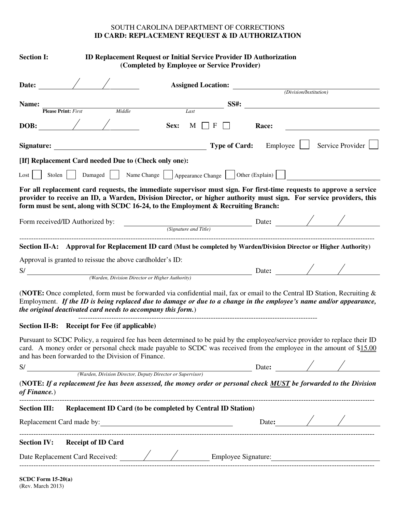#### SOUTH CAROLINA DEPARTMENT OF CORRECTIONS **ID CARD: REPLACEMENT REQUEST & ID AUTHORIZATION**

| <b>Section I:</b>                   |                                                                                                                                                                                                                                                                                                                               | <b>ID Replacement Request or Initial Service Provider ID Authorization</b><br>(Completed by Employee or Service Provider) |                                                                             |                   |                        |                  |
|-------------------------------------|-------------------------------------------------------------------------------------------------------------------------------------------------------------------------------------------------------------------------------------------------------------------------------------------------------------------------------|---------------------------------------------------------------------------------------------------------------------------|-----------------------------------------------------------------------------|-------------------|------------------------|------------------|
| Date:                               |                                                                                                                                                                                                                                                                                                                               |                                                                                                                           | <b>Assigned Location:</b>                                                   |                   | (Division/Institution) |                  |
|                                     |                                                                                                                                                                                                                                                                                                                               |                                                                                                                           |                                                                             |                   |                        |                  |
| Name:<br><b>Please Print:</b> First | Middle                                                                                                                                                                                                                                                                                                                        | Last                                                                                                                      | <b>SS#:</b>                                                                 |                   |                        |                  |
|                                     |                                                                                                                                                                                                                                                                                                                               |                                                                                                                           |                                                                             |                   |                        |                  |
| DOB:                                |                                                                                                                                                                                                                                                                                                                               | Sex:<br>M                                                                                                                 | F                                                                           | Race:             |                        |                  |
| Signature:                          |                                                                                                                                                                                                                                                                                                                               |                                                                                                                           | <b>Type of Card:</b>                                                        | $Emplogee$ $\Box$ |                        | Service Provider |
|                                     | [If] Replacement Card needed Due to (Check only one):                                                                                                                                                                                                                                                                         |                                                                                                                           |                                                                             |                   |                        |                  |
| $\text{Lost}$                       | Stolen   Damaged     Name Change     Appearance Change     Other (Explain)                                                                                                                                                                                                                                                    |                                                                                                                           |                                                                             |                   |                        |                  |
|                                     | For all replacement card requests, the immediate supervisor must sign. For first-time requests to approve a service<br>provider to receive an ID, a Warden, Division Director, or higher authority must sign. For service providers, this<br>form must be sent, along with SCDC 16-24, to the Employment & Recruiting Branch: |                                                                                                                           |                                                                             |                   |                        |                  |
|                                     | Form received/ID Authorized by:                                                                                                                                                                                                                                                                                               |                                                                                                                           | $\frac{1}{\sqrt{2\pi}}$ (Signature and Title) Date: $\frac{1}{\sqrt{2\pi}}$ |                   |                        |                  |
|                                     | Section II-A: Approval for Replacement ID card (Must be completed by Warden/Division Director or Higher Authority)                                                                                                                                                                                                            |                                                                                                                           |                                                                             |                   |                        |                  |
|                                     | Approval is granted to reissue the above cardholder's ID:                                                                                                                                                                                                                                                                     |                                                                                                                           |                                                                             |                   |                        |                  |
| S/                                  |                                                                                                                                                                                                                                                                                                                               |                                                                                                                           |                                                                             | Date: $\angle$    |                        |                  |
|                                     |                                                                                                                                                                                                                                                                                                                               | (Warden, Division Director or Higher Authority)                                                                           |                                                                             |                   |                        |                  |
|                                     | (NOTE: Once completed, form must be forwarded via confidential mail, fax or email to the Central ID Station, Recruiting $\&$<br>Employment. If the ID is being replaced due to damage or due to a change in the employee's name and/or appearance,<br>the original deactivated card needs to accompany this form.)            |                                                                                                                           |                                                                             |                   |                        |                  |
|                                     | Section II-B: Receipt for Fee (if applicable)                                                                                                                                                                                                                                                                                 |                                                                                                                           |                                                                             |                   |                        |                  |
|                                     | Pursuant to SCDC Policy, a required fee has been determined to be paid by the employee/service provider to replace their ID<br>card. A money order or personal check made payable to SCDC was received from the employee in the amount of \$15.00<br>and has been forwarded to the Division of Finance.                       |                                                                                                                           |                                                                             |                   |                        |                  |
|                                     | S/ Warden, Division Director, Deputy Director or Supervisor)                                                                                                                                                                                                                                                                  |                                                                                                                           |                                                                             | Date: $\angle$ /  |                        |                  |
| of Finance.)                        | (NOTE: If a replacement fee has been assessed, the money order or personal check MUST be forwarded to the Division                                                                                                                                                                                                            |                                                                                                                           |                                                                             |                   |                        |                  |
|                                     | Section III: Replacement ID Card (to be completed by Central ID Station)                                                                                                                                                                                                                                                      |                                                                                                                           |                                                                             |                   |                        |                  |
|                                     |                                                                                                                                                                                                                                                                                                                               |                                                                                                                           |                                                                             |                   |                        | Date: $\angle$   |
|                                     | <b>Section IV:</b> Receipt of ID Card                                                                                                                                                                                                                                                                                         |                                                                                                                           |                                                                             |                   |                        |                  |
|                                     |                                                                                                                                                                                                                                                                                                                               |                                                                                                                           |                                                                             |                   |                        |                  |
|                                     |                                                                                                                                                                                                                                                                                                                               |                                                                                                                           |                                                                             |                   |                        |                  |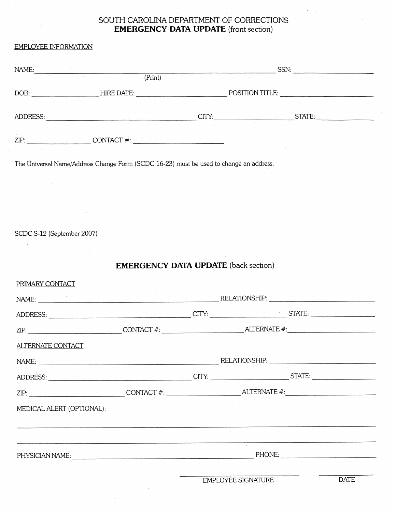## SOUTH CAROLINA DEPARTMENT OF CORRECTIONS **EMERGENCY DATA UPDATE** (front section)

### **EMDI OVEE INFORMATION**

| EMPLOYEE INFORMATION                                                                                                                                                                                                                                                                                                     |                                             |  |
|--------------------------------------------------------------------------------------------------------------------------------------------------------------------------------------------------------------------------------------------------------------------------------------------------------------------------|---------------------------------------------|--|
| NAME:                                                                                                                                                                                                                                                                                                                    |                                             |  |
|                                                                                                                                                                                                                                                                                                                          | (Print)                                     |  |
|                                                                                                                                                                                                                                                                                                                          |                                             |  |
|                                                                                                                                                                                                                                                                                                                          |                                             |  |
|                                                                                                                                                                                                                                                                                                                          |                                             |  |
|                                                                                                                                                                                                                                                                                                                          |                                             |  |
|                                                                                                                                                                                                                                                                                                                          |                                             |  |
| The Universal Name/Address Change Form (SCDC 16-23) must be used to change an address.                                                                                                                                                                                                                                   |                                             |  |
|                                                                                                                                                                                                                                                                                                                          |                                             |  |
|                                                                                                                                                                                                                                                                                                                          |                                             |  |
|                                                                                                                                                                                                                                                                                                                          |                                             |  |
|                                                                                                                                                                                                                                                                                                                          |                                             |  |
| SCDC S-12 (September 2007)                                                                                                                                                                                                                                                                                               |                                             |  |
|                                                                                                                                                                                                                                                                                                                          |                                             |  |
|                                                                                                                                                                                                                                                                                                                          |                                             |  |
|                                                                                                                                                                                                                                                                                                                          | <b>EMERGENCY DATA UPDATE</b> (back section) |  |
| PRIMARY CONTACT                                                                                                                                                                                                                                                                                                          |                                             |  |
|                                                                                                                                                                                                                                                                                                                          |                                             |  |
|                                                                                                                                                                                                                                                                                                                          |                                             |  |
|                                                                                                                                                                                                                                                                                                                          |                                             |  |
| $ZIP:$ $\hspace{0.5cm}$ $\hspace{0.5cm}$ $\hspace{0.5cm}$ $\hspace{0.5cm}$ $\hspace{0.5cm}$ $\hspace{0.5cm}$ $\hspace{0.5cm}$ $\hspace{0.5cm}$ $\hspace{0.5cm}$ $\hspace{0.5cm}$ $\hspace{0.5cm}$ $\hspace{0.5cm}$ $\hspace{0.5cm}$ $\hspace{0.5cm}$ $\hspace{0.5cm}$ $\hspace{0.5cm}$ $\hspace{0.5cm}$ $\hspace{0.5cm}$ |                                             |  |
| ALTERNATE CONTACT                                                                                                                                                                                                                                                                                                        |                                             |  |
|                                                                                                                                                                                                                                                                                                                          |                                             |  |
|                                                                                                                                                                                                                                                                                                                          |                                             |  |
|                                                                                                                                                                                                                                                                                                                          |                                             |  |
|                                                                                                                                                                                                                                                                                                                          |                                             |  |

MEDICAL ALERT (OPTIONAL):

<u> 1980 - Johann Barn, mars ann an t-Amhain an t-Amhain an t-Amhain an t-Amhain an t-Amhain an t-Amhain an t-Amh</u>

EMPLOYEE SIGNATURE

Ţ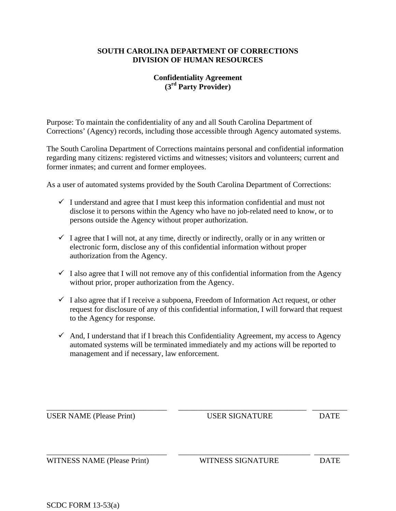#### **SOUTH CAROLINA DEPARTMENT OF CORRECTIONS DIVISION OF HUMAN RESOURCES**

## **Confidentiality Agreement (3rd Party Provider)**

Purpose: To maintain the confidentiality of any and all South Carolina Department of Corrections' (Agency) records, including those accessible through Agency automated systems.

The South Carolina Department of Corrections maintains personal and confidential information regarding many citizens: registered victims and witnesses; visitors and volunteers; current and former inmates; and current and former employees.

As a user of automated systems provided by the South Carolina Department of Corrections:

- $\checkmark$  I understand and agree that I must keep this information confidential and must not disclose it to persons within the Agency who have no job-related need to know, or to persons outside the Agency without proper authorization.
- $\checkmark$  I agree that I will not, at any time, directly or indirectly, orally or in any written or electronic form, disclose any of this confidential information without proper authorization from the Agency.
- $\checkmark$  I also agree that I will not remove any of this confidential information from the Agency without prior, proper authorization from the Agency.
- $\checkmark$  I also agree that if I receive a subpoena, Freedom of Information Act request, or other request for disclosure of any of this confidential information, I will forward that request to the Agency for response.
- $\checkmark$  And, I understand that if I breach this Confidentiality Agreement, my access to Agency automated systems will be terminated immediately and my actions will be reported to management and if necessary, law enforcement.

| <b>USER NAME</b> (Please Print) | <b>USER SIGNATURE</b>    | <b>DATE</b> |
|---------------------------------|--------------------------|-------------|
| WITNESS NAME (Please Print)     | <b>WITNESS SIGNATURE</b> | <b>DATE</b> |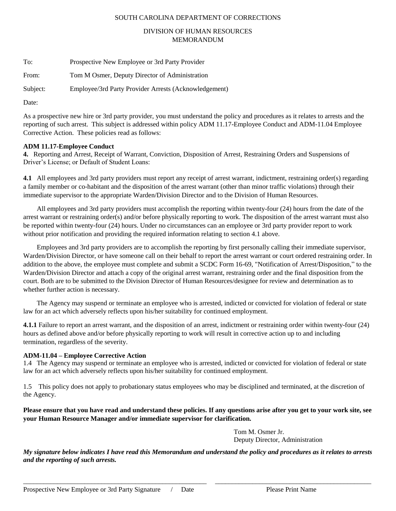#### SOUTH CAROLINA DEPARTMENT OF CORRECTIONS

#### DIVISION OF HUMAN RESOURCES MEMORANDUM

| To:      | Prospective New Employee or 3rd Party Provider        |
|----------|-------------------------------------------------------|
| From:    | Tom M Osmer, Deputy Director of Administration        |
| Subject: | Employee/3rd Party Provider Arrests (Acknowledgement) |

Date:

As a prospective new hire or 3rd party provider, you must understand the policy and procedures as it relates to arrests and the reporting of such arrest. This subject is addressed within policy ADM 11.17-Employee Conduct and ADM-11.04 Employee Corrective Action. These policies read as follows:

#### **ADM 11.17-Employee Conduct**

**4.** Reporting and Arrest, Receipt of Warrant, Conviction, Disposition of Arrest, Restraining Orders and Suspensions of Driver's License; or Default of Student Loans:

**4.1** All employees and 3rd party providers must report any receipt of arrest warrant, indictment, restraining order(s) regarding a family member or co-habitant and the disposition of the arrest warrant (other than minor traffic violations) through their immediate supervisor to the appropriate Warden/Division Director and to the Division of Human Resources.

 All employees and 3rd party providers must accomplish the reporting within twenty-four (24) hours from the date of the arrest warrant or restraining order(s) and/or before physically reporting to work. The disposition of the arrest warrant must also be reported within twenty-four (24) hours. Under no circumstances can an employee or 3rd party provider report to work without prior notification and providing the required information relating to section 4.1 above.

 Employees and 3rd party providers are to accomplish the reporting by first personally calling their immediate supervisor, Warden/Division Director, or have someone call on their behalf to report the arrest warrant or court ordered restraining order. In addition to the above, the employee must complete and submit a SCDC Form 16-69, "Notification of Arrest/Disposition," to the Warden/Division Director and attach a copy of the original arrest warrant, restraining order and the final disposition from the court. Both are to be submitted to the Division Director of Human Resources/designee for review and determination as to whether further action is necessary.

 The Agency may suspend or terminate an employee who is arrested, indicted or convicted for violation of federal or state law for an act which adversely reflects upon his/her suitability for continued employment.

**4.1.1** Failure to report an arrest warrant, and the disposition of an arrest, indictment or restraining order within twenty-four (24) hours as defined above and/or before physically reporting to work will result in corrective action up to and including termination, regardless of the severity.

#### **ADM-11.04 – Employee Corrective Action**

1.4 The Agency may suspend or terminate an employee who is arrested, indicted or convicted for violation of federal or state law for an act which adversely reflects upon his/her suitability for continued employment.

1.5 This policy does not apply to probationary status employees who may be disciplined and terminated, at the discretion of the Agency.

**Please ensure that you have read and understand these policies. If any questions arise after you get to your work site, see your Human Resource Manager and/or immediate supervisor for clarification.** 

> Tom M. Osmer Jr. Deputy Director, Administration

*My signature below indicates I have read this Memorandum and understand the policy and procedures as it relates to arrests and the reporting of such arrests.*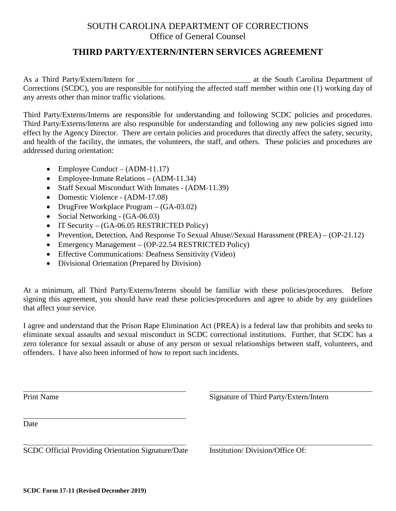## SOUTH CAROLINA DEPARTMENT OF CORRECTIONS Office of General Counsel

## **THIRD PARTY/EXTERN/INTERN SERVICES AGREEMENT**

As a Third Party/Extern/Intern for the South Carolina Department of Corrections (SCDC), you are responsible for notifying the affected staff member within one (1) working day of any arrests other than minor traffic violations.

Third Party/Externs/Interns are responsible for understanding and following SCDC policies and procedures. Third Party/Externs/Interns are also responsible for understanding and following any new policies signed into effect by the Agency Director. There are certain policies and procedures that directly affect the safety, security, and health of the facility, the inmates, the volunteers, the staff, and others. These policies and procedures are addressed during orientation:

- Employee Conduct (ADM-11.17)
- Employee-Inmate Relations (ADM-11.34)
- Staff Sexual Misconduct With Inmates (ADM-11.39)
- Domestic Violence (ADM-17.08)
- DrugFree Workplace Program (GA-03.02)
- Social Networking (GA-06.03)
- IT Security (GA-06.05 RESTRICTED Policy)
- Prevention, Detection, And Response To Sexual Abuse//Sexual Harassment (PREA) (OP-21.12)
- Emergency Management (OP-22.54 RESTRICTED Policy)
- Effective Communications: Deafness Sensitivity (Video)
- Divisional Orientation (Prepared by Division)

At a minimum, all Third Party/Externs/Interns should be familiar with these policies/procedures. Before signing this agreement, you should have read these policies/procedures and agree to abide by any guidelines that affect your service.

I agree and understand that the Prison Rape Elimination Act (PREA) is a federal law that prohibits and seeks to eliminate sexual assaults and sexual misconduct in SCDC correctional institutions. Further, that SCDC has a zero tolerance for sexual assault or abuse of any person or sexual relationships between staff, volunteers, and offenders. I have also been informed of how to report such incidents.

Print Name Signature of Third Party/Extern/Intern Date \_ SCDC Official Providing Orientation Signature/Date Institution/ Division/Office Of: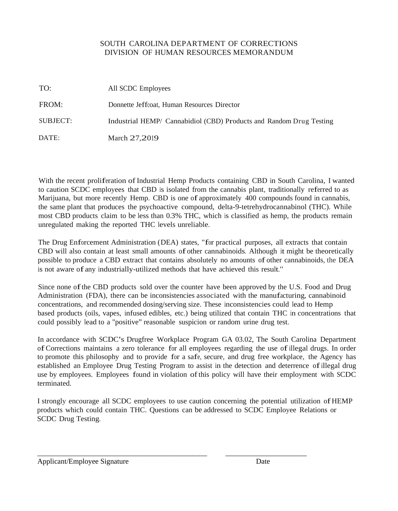## SOUTH CAROLINA DEPARTMENT OF CORRECTIONS DIVISION OF HUMAN RESOURCES MEMORANDUM

| TO:      | All SCDC Employees                                                  |
|----------|---------------------------------------------------------------------|
| FROM:    | Donnette Jeffcoat, Human Resources Director                         |
| SUBJECT: | Industrial HEMP/ Cannabidiol (CBD) Products and Random Drug Testing |
| DATE:    | March 27,2019                                                       |

With the recent proliferation of Industrial Hemp Products containing CBD in South Carolina, <sup>I</sup> wanted to caution SCDC employees that CBD is isolated from the cannabis plant, traditionally referred to as Marijuana, but more recently Hemp. CBD is one of approximately <sup>400</sup> compounds found in cannabis, the same plant that produces the psychoactive compound, delta-9-tetrehydrocannabinol (THC). While most CBD products claim to be less than 0.3% THC, which is classified as hemp, the products remain unregulated making the reported THC levels unreliable.

The Drug Enforcement Administration (DEA) states, "for practical purposes, all extracts that contain CBD will also contain at least small amounts of other cannabinoids. Although it might be theoretically possible to produce a CBD extract that contains absolutely no amounts of other cannabinoids, the DEA is not aware of any industrially-utilized methods that have achieved this result."

Since none ofthe CBD products sold over the counter have been approved by the U.S. Food and Drug Administration (FDA), there can be inconsistencies associated with the manufacturing, cannabinoid concentrations, and recommended dosing/serving size. These inconsistencies could lead to Hemp based products (oils, vapes, infused edibles, etc.) being utilized that contain THC in concentrations that could possibly lead to a "positive" reasonable suspicion or random urine drug test.

In accordance with SCDC's Drugfree Workplace Program GA 03.02, The South Carolina Department ofCorrections maintains <sup>a</sup> zero tolerance for all employees regarding the use ofillegal drugs. In order to promote this philosophy and to provide for a safe, secure, and drug free workplace, the Agency has established an Employee Drug Testing Program to assist in the detection and deterrence ofillegal drug use by employees. Employees found in violation ofthis policy will have their employment with SCDC terminated.

I strongly encourage all SCDC employees to use caution concerning the potential utilization ofHEMP products which could contain THC. Questions can be addressed to SCDC Employee Relations or SCDC Drug Testing.

\_\_\_\_\_\_\_\_\_\_\_\_\_\_\_\_\_\_\_\_\_\_\_\_\_\_\_\_\_\_\_\_\_\_\_\_\_\_\_\_\_\_\_\_\_\_ \_\_\_\_\_\_\_\_\_\_\_\_\_\_\_\_\_\_\_\_\_\_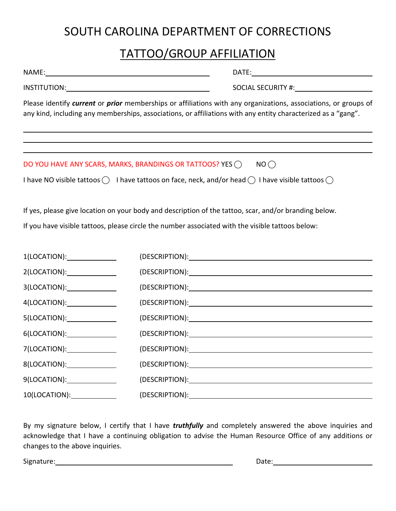# SOUTH CAROLINA DEPARTMENT OF CORRECTIONS

## TATTOO/GROUP AFFILIATION

| NAME:_                                                                                                                                                                                                                           |                                                                                                  | DATE:                                                                                                                                                                                                                          |  |  |
|----------------------------------------------------------------------------------------------------------------------------------------------------------------------------------------------------------------------------------|--------------------------------------------------------------------------------------------------|--------------------------------------------------------------------------------------------------------------------------------------------------------------------------------------------------------------------------------|--|--|
|                                                                                                                                                                                                                                  |                                                                                                  |                                                                                                                                                                                                                                |  |  |
| Please identify current or prior memberships or affiliations with any organizations, associations, or groups of<br>any kind, including any memberships, associations, or affiliations with any entity characterized as a "gang". |                                                                                                  |                                                                                                                                                                                                                                |  |  |
|                                                                                                                                                                                                                                  |                                                                                                  |                                                                                                                                                                                                                                |  |  |
|                                                                                                                                                                                                                                  | DO YOU HAVE ANY SCARS, MARKS, BRANDINGS OR TATTOOS? YES $\bigcirc$                               | NO()                                                                                                                                                                                                                           |  |  |
|                                                                                                                                                                                                                                  |                                                                                                  | I have NO visible tattoos $\bigcirc$ I have tattoos on face, neck, and/or head $\bigcirc$ I have visible tattoos $\bigcirc$                                                                                                    |  |  |
|                                                                                                                                                                                                                                  |                                                                                                  | If yes, please give location on your body and description of the tattoo, scar, and/or branding below.                                                                                                                          |  |  |
|                                                                                                                                                                                                                                  | If you have visible tattoos, please circle the number associated with the visible tattoos below: |                                                                                                                                                                                                                                |  |  |
| 1(LOCATION):_______________                                                                                                                                                                                                      |                                                                                                  |                                                                                                                                                                                                                                |  |  |
| 2(LOCATION):_______________                                                                                                                                                                                                      |                                                                                                  |                                                                                                                                                                                                                                |  |  |
| 3(LOCATION):_______________                                                                                                                                                                                                      |                                                                                                  |                                                                                                                                                                                                                                |  |  |
| 4(LOCATION):______________                                                                                                                                                                                                       |                                                                                                  |                                                                                                                                                                                                                                |  |  |
| 5(LOCATION):______________                                                                                                                                                                                                       |                                                                                                  |                                                                                                                                                                                                                                |  |  |
| 6(LOCATION):_______________                                                                                                                                                                                                      |                                                                                                  |                                                                                                                                                                                                                                |  |  |
| 7(LOCATION):______________                                                                                                                                                                                                       |                                                                                                  | (DESCRIPTION): We are a series of the series of the series of the series of the series of the series of the series of the series of the series of the series of the series of the series of the series of the series of the se |  |  |
| 8(LOCATION):_______________                                                                                                                                                                                                      |                                                                                                  |                                                                                                                                                                                                                                |  |  |
| 9(LOCATION):_______________                                                                                                                                                                                                      |                                                                                                  | (DESCRIPTION): Note that the second state of the second state of the second state of the second state of the second state of the second state of the second state of the second state of the second state of the second state  |  |  |
|                                                                                                                                                                                                                                  |                                                                                                  |                                                                                                                                                                                                                                |  |  |

By my signature below, I certify that I have *truthfully* and completely answered the above inquiries and acknowledge that I have a continuing obligation to advise the Human Resource Office of any additions or changes to the above inquiries.

Signature: 2008 Contract Contract Contract Contract Contract Contract Contract Contract Contract Contract Contract Contract Contract Contract Contract Contract Contract Contract Contract Contract Contract Contract Contract